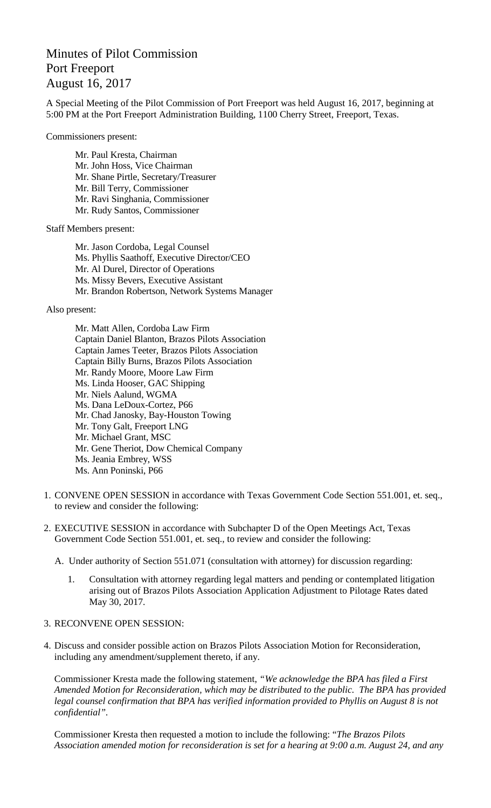## Minutes of Pilot Commission Port Freeport August 16, 2017

A Special Meeting of the Pilot Commission of Port Freeport was held August 16, 2017, beginning at 5:00 PM at the Port Freeport Administration Building, 1100 Cherry Street, Freeport, Texas.

Commissioners present:

Mr. Paul Kresta, Chairman Mr. John Hoss, Vice Chairman Mr. Shane Pirtle, Secretary/Treasurer Mr. Bill Terry, Commissioner Mr. Ravi Singhania, Commissioner Mr. Rudy Santos, Commissioner

Staff Members present:

Mr. Jason Cordoba, Legal Counsel Ms. Phyllis Saathoff, Executive Director/CEO Mr. Al Durel, Director of Operations Ms. Missy Bevers, Executive Assistant Mr. Brandon Robertson, Network Systems Manager

Also present:

Mr. Matt Allen, Cordoba Law Firm Captain Daniel Blanton, Brazos Pilots Association Captain James Teeter, Brazos Pilots Association Captain Billy Burns, Brazos Pilots Association Mr. Randy Moore, Moore Law Firm Ms. Linda Hooser, GAC Shipping Mr. Niels Aalund, WGMA Ms. Dana LeDoux-Cortez, P66 Mr. Chad Janosky, Bay-Houston Towing Mr. Tony Galt, Freeport LNG Mr. Michael Grant, MSC Mr. Gene Theriot, Dow Chemical Company Ms. Jeania Embrey, WSS Ms. Ann Poninski, P66

- 1. CONVENE OPEN SESSION in accordance with Texas Government Code Section 551.001, et. seq., to review and consider the following:
- 2. EXECUTIVE SESSION in accordance with Subchapter D of the Open Meetings Act, Texas Government Code Section 551.001, et. seq., to review and consider the following:
	- A. Under authority of Section 551.071 (consultation with attorney) for discussion regarding:
		- 1. Consultation with attorney regarding legal matters and pending or contemplated litigation arising out of Brazos Pilots Association Application Adjustment to Pilotage Rates dated May 30, 2017.
- 3. RECONVENE OPEN SESSION:
- 4. Discuss and consider possible action on Brazos Pilots Association Motion for Reconsideration, including any amendment/supplement thereto, if any.

Commissioner Kresta made the following statement, *"We acknowledge the BPA has filed a First Amended Motion for Reconsideration, which may be distributed to the public. The BPA has provided legal counsel confirmation that BPA has verified information provided to Phyllis on August 8 is not confidential".*

Commissioner Kresta then requested a motion to include the following: "*The Brazos Pilots Association amended motion for reconsideration is set for a hearing at 9:00 a.m. August 24, and any*